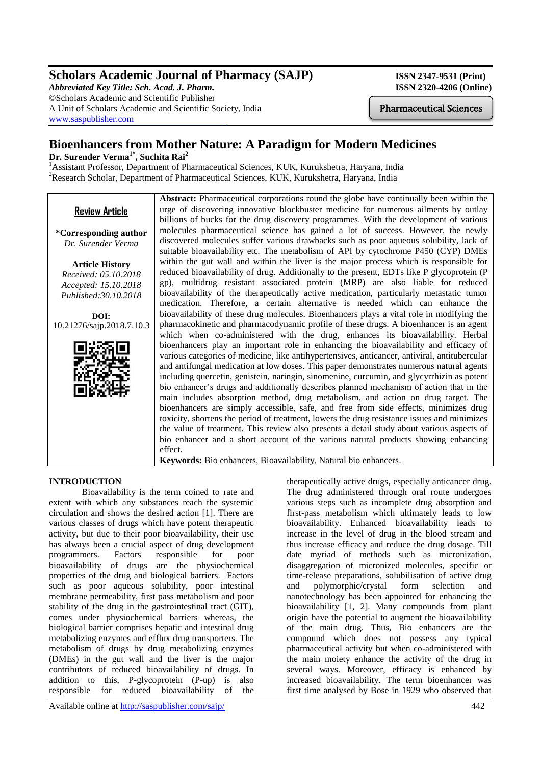# **Scholars Academic Journal of Pharmacy (SAJP) ISSN 2347-9531 (Print)**

*Abbreviated Key Title: Sch. Acad. J. Pharm.* **ISSN 2320-4206 (Online)** ©Scholars Academic and Scientific Publisher A Unit of Scholars Academic and Scientific Society, India [www.saspublisher.com](http://www.saspublisher.com/)

# **Bioenhancers from Mother Nature: A Paradigm for Modern Medicines**

**Dr. Surender Verma1\* , Suchita Rai<sup>2</sup>**

<sup>1</sup>Assistant Professor, Department of Pharmaceutical Sciences, KUK, Kurukshetra, Haryana, India <sup>2</sup>Research Scholar, Department of Pharmaceutical Sciences, KUK, Kurukshetra, Haryana, India

|                           | <b>Abstract:</b> Pharmaceutical corporations round the globe have continually been within the |
|---------------------------|-----------------------------------------------------------------------------------------------|
| <b>Review Article</b>     | urge of discovering innovative blockbuster medicine for numerous ailments by outlay           |
|                           | billions of bucks for the drug discovery programmes. With the development of various          |
| *Corresponding author     | molecules pharmaceutical science has gained a lot of success. However, the newly              |
| Dr. Surender Verma        | discovered molecules suffer various drawbacks such as poor aqueous solubility, lack of        |
|                           | suitable bioavailability etc. The metabolism of API by cytochrome P450 (CYP) DMEs             |
| <b>Article History</b>    | within the gut wall and within the liver is the major process which is responsible for        |
| Received: 05.10.2018      | reduced bioavailability of drug. Additionally to the present, EDTs like P glycoprotein (P     |
| Accepted: 15.10.2018      | gp), multidrug resistant associated protein (MRP) are also liable for reduced                 |
| Published: 30.10.2018     | bioavailability of the therapeutically active medication, particularly metastatic tumor       |
|                           | medication. Therefore, a certain alternative is needed which can enhance the                  |
| DOI:                      | bioavailability of these drug molecules. Bioenhancers plays a vital role in modifying the     |
| 10.21276/sajp.2018.7.10.3 | pharmacokinetic and pharmacodynamic profile of these drugs. A bioenhancer is an agent         |
|                           | which when co-administered with the drug, enhances its bioavailability. Herbal                |
|                           | bioenhancers play an important role in enhancing the bioavailability and efficacy of          |
|                           | various categories of medicine, like antihypertensives, anticancer, antiviral, antitubercular |
|                           | and antifungal medication at low doses. This paper demonstrates numerous natural agents       |
|                           | including quercetin, genistein, naringin, sinomenine, curcumin, and glycyrrhizin as potent    |
|                           | bio enhancer's drugs and additionally describes planned mechanism of action that in the       |
|                           | main includes absorption method, drug metabolism, and action on drug target. The              |
|                           | bioenhancers are simply accessible, safe, and free from side effects, minimizes drug          |
|                           | toxicity, shortens the period of treatment, lowers the drug resistance issues and minimizes   |
|                           | the value of treatment. This review also presents a detail study about various aspects of     |
|                           | bio enhancer and a short account of the various natural products showing enhancing            |
|                           | effect.                                                                                       |
|                           | Keywords: Bio enhancers, Bioavailability, Natural bio enhancers.                              |

# **INTRODUCTION**

Bioavailability is the term coined to rate and extent with which any substances reach the systemic circulation and shows the desired action [1]. There are various classes of drugs which have potent therapeutic activity, but due to their poor bioavailability, their use has always been a crucial aspect of drug development programmers. Factors responsible for poor bioavailability of drugs are the physiochemical properties of the drug and biological barriers. Factors such as poor aqueous solubility, poor intestinal membrane permeability, first pass metabolism and poor stability of the drug in the gastrointestinal tract (GIT), comes under physiochemical barriers whereas, the biological barrier comprises hepatic and intestinal drug metabolizing enzymes and efflux drug transporters. The metabolism of drugs by drug metabolizing enzymes (DMEs) in the gut wall and the liver is the major contributors of reduced bioavailability of drugs. In addition to this, P-glycoprotein (P-up) is also responsible for reduced bioavailability of the

therapeutically active drugs, especially anticancer drug. The drug administered through oral route undergoes various steps such as incomplete drug absorption and first-pass metabolism which ultimately leads to low bioavailability. Enhanced bioavailability leads to increase in the level of drug in the blood stream and thus increase efficacy and reduce the drug dosage. Till date myriad of methods such as micronization, disaggregation of micronized molecules, specific or time-release preparations, solubilisation of active drug and polymorphic/crystal form selection and nanotechnology has been appointed for enhancing the bioavailability [1, 2]. Many compounds from plant origin have the potential to augment the bioavailability of the main drug. Thus, Bio enhancers are the compound which does not possess any typical pharmaceutical activity but when co-administered with the main moiety enhance the activity of the drug in several ways. Moreover, efficacy is enhanced by increased bioavailability. The term bioenhancer was first time analysed by Bose in 1929 who observed that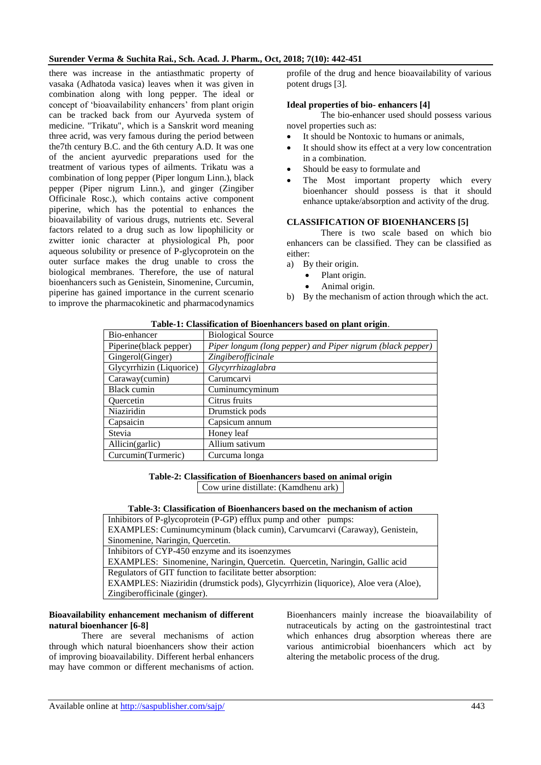there was increase in the antiasthmatic property of vasaka (Adhatoda vasica) leaves when it was given in combination along with long pepper. The ideal or concept of 'bioavailability enhancers' from plant origin can be tracked back from our Ayurveda system of medicine. "Trikatu", which is a Sanskrit word meaning three acrid, was very famous during the period between the7th century B.C. and the 6th century A.D. It was one of the ancient ayurvedic preparations used for the treatment of various types of ailments. Trikatu was a combination of long pepper (Piper longum Linn.), black pepper (Piper nigrum Linn.), and ginger (Zingiber Officinale Rosc.), which contains active component piperine, which has the potential to enhances the bioavailability of various drugs, nutrients etc. Several factors related to a drug such as low lipophilicity or zwitter ionic character at physiological Ph, poor aqueous solubility or presence of P-glycoprotein on the outer surface makes the drug unable to cross the biological membranes. Therefore, the use of natural bioenhancers such as Genistein, Sinomenine, Curcumin, piperine has gained importance in the current scenario to improve the pharmacokinetic and pharmacodynamics

profile of the drug and hence bioavailability of various potent drugs [3].

#### **Ideal properties of bio- enhancers [4]**

 The bio-enhancer used should possess various novel properties such as:

- It should be Nontoxic to humans or animals,
- It should show its effect at a very low concentration in a combination.
- Should be easy to formulate and
- The Most important property which every bioenhancer should possess is that it should enhance uptake/absorption and activity of the drug.

## **CLASSIFICATION OF BIOENHANCERS [5]**

 There is two scale based on which bio enhancers can be classified. They can be classified as either:

a) By their origin.

- Plant origin.
- Animal origin.
- b) By the mechanism of action through which the act.

#### **Table-1: Classification of Bioenhancers based on plant origin**.

| Bio-enhancer             | <b>Biological Source</b>                                   |
|--------------------------|------------------------------------------------------------|
| Piperine(black pepper)   | Piper longum (long pepper) and Piper nigrum (black pepper) |
| Gingerol(Ginger)         | Zingiberofficinale                                         |
| Glycyrrhizin (Liquorice) | Glycyrrhizaglabra                                          |
| Caraway(cumin)           | Carumcarvi                                                 |
| Black cumin              | Cuminumcyminum                                             |
| <b>Ouercetin</b>         | Citrus fruits                                              |
| Niaziridin               | Drumstick pods                                             |
| Capsaicin                | Capsicum annum                                             |
| Stevia                   | Honey leaf                                                 |
| Allicin(garlic)          | Allium sativum                                             |
| Curcumin(Turmeric)       | Curcuma longa                                              |

#### **Table-2: Classification of Bioenhancers based on animal origin** Cow urine distillate: (Kamdhenu ark)

## **Table-3: Classification of Bioenhancers based on the mechanism of action**

Inhibitors of P-glycoprotein (P-GP) efflux pump and other pumps: EXAMPLES: Cuminumcyminum (black cumin), Carvumcarvi (Caraway), Genistein, Sinomenine, Naringin, Quercetin. Inhibitors of CYP-450 enzyme and its isoenzymes EXAMPLES: Sinomenine, Naringin, Quercetin. Quercetin, Naringin, Gallic acid Regulators of GIT function to facilitate better absorption:

EXAMPLES: Niaziridin (drumstick pods), Glycyrrhizin (liquorice), Aloe vera (Aloe), Zingiberofficinale (ginger).

# **Bioavailability enhancement mechanism of different natural bioenhancer [6-8]**

There are several mechanisms of action through which natural bioenhancers show their action of improving bioavailability. Different herbal enhancers may have common or different mechanisms of action.

Bioenhancers mainly increase the bioavailability of nutraceuticals by acting on the gastrointestinal tract which enhances drug absorption whereas there are various antimicrobial bioenhancers which act by altering the metabolic process of the drug.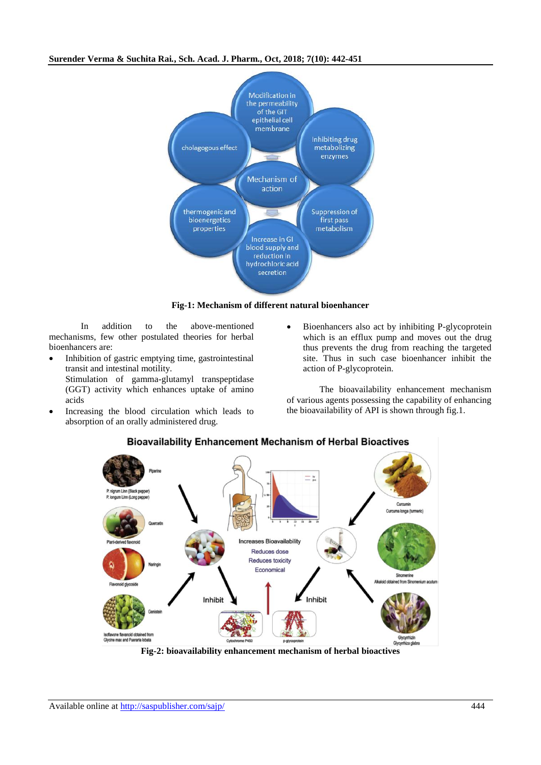

## **Fig-1: Mechanism of different natural bioenhancer**

 In addition to the above-mentioned mechanisms, few other postulated theories for herbal bioenhancers are:

• Inhibition of gastric emptying time, gastrointestinal transit and intestinal motility. Stimulation of gamma-glutamyl transpeptidase

(GGT) activity which enhances uptake of amino acids

- Increasing the blood circulation which leads to absorption of an orally administered drug.
- Bioenhancers also act by inhibiting P-glycoprotein which is an efflux pump and moves out the drug thus prevents the drug from reaching the targeted site. Thus in such case bioenhancer inhibit the action of P-glycoprotein.

The bioavailability enhancement mechanism of various agents possessing the capability of enhancing the bioavailability of API is shown through fig.1.



# **Bioavailability Enhancement Mechanism of Herbal Bioactives**

**Fig-2: bioavailability enhancement mechanism of herbal bioactives**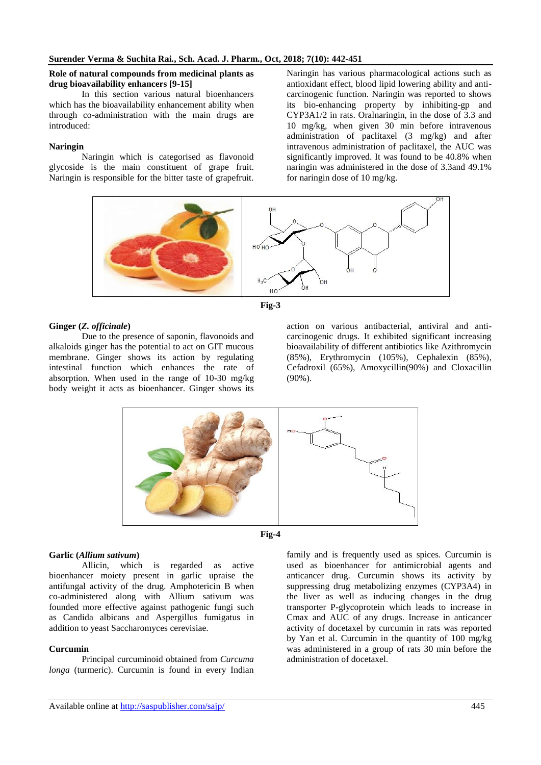#### **Role of natural compounds from medicinal plants as drug bioavailability enhancers [9-15]**

In this section various natural bioenhancers which has the bioavailability enhancement ability when through co-administration with the main drugs are introduced:

## **Naringin**

Naringin which is categorised as flavonoid glycoside is the main constituent of grape fruit. Naringin is responsible for the bitter taste of grapefruit. Naringin has various pharmacological actions such as antioxidant effect, blood lipid lowering ability and anticarcinogenic function. Naringin was reported to shows its bio-enhancing property by inhibiting-gp and CYP3A1/2 in rats. Oralnaringin, in the dose of 3.3 and 10 mg/kg, when given 30 min before intravenous administration of paclitaxel (3 mg/kg) and after intravenous administration of paclitaxel, the AUC was significantly improved. It was found to be 40.8% when naringin was administered in the dose of 3.3and 49.1% for naringin dose of 10 mg/kg.





## **Ginger (***Z. officinale***)**

Due to the presence of saponin, flavonoids and alkaloids ginger has the potential to act on GIT mucous membrane. Ginger shows its action by regulating intestinal function which enhances the rate of absorption. When used in the range of 10-30 mg/kg body weight it acts as bioenhancer. Ginger shows its

action on various antibacterial, antiviral and anticarcinogenic drugs. It exhibited significant increasing bioavailability of different antibiotics like Azithromycin (85%), Erythromycin (105%), Cephalexin (85%), Cefadroxil (65%), Amoxycillin(90%) and Cloxacillin (90%).





## **Garlic (***Allium sativum***)**

Allicin, which is regarded as active bioenhancer moiety present in garlic upraise the antifungal activity of the drug. Amphotericin B when co-administered along with Allium sativum was founded more effective against pathogenic fungi such as Candida albicans and Aspergillus fumigatus in addition to yeast Saccharomyces cerevisiae.

## **Curcumin**

Principal curcuminoid obtained from *Curcuma longa* (turmeric). Curcumin is found in every Indian

family and is frequently used as spices. Curcumin is used as bioenhancer for antimicrobial agents and anticancer drug. Curcumin shows its activity by suppressing drug metabolizing enzymes (CYP3A4) in the liver as well as inducing changes in the drug transporter P-glycoprotein which leads to increase in Cmax and AUC of any drugs. Increase in anticancer activity of docetaxel by curcumin in rats was reported by Yan et al. Curcumin in the quantity of 100 mg/kg was administered in a group of rats 30 min before the administration of docetaxel.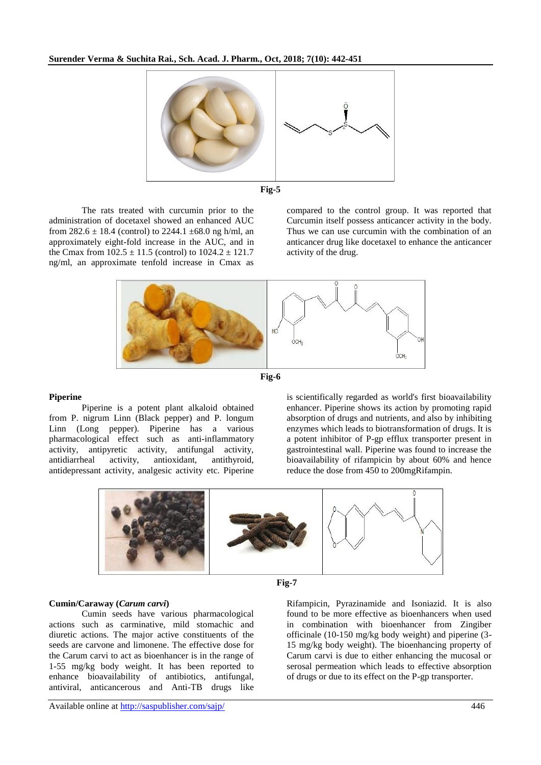



The rats treated with curcumin prior to the administration of docetaxel showed an enhanced AUC from  $282.6 \pm 18.4$  (control) to  $2244.1 \pm 68.0$  ng h/ml, an approximately eight-fold increase in the AUC, and in the Cmax from  $102.5 \pm 11.5$  (control) to  $1024.2 \pm 121.7$ ng/ml, an approximate tenfold increase in Cmax as

compared to the control group. It was reported that Curcumin itself possess anticancer activity in the body. Thus we can use curcumin with the combination of an anticancer drug like docetaxel to enhance the anticancer activity of the drug.





#### **Piperine**

Piperine is a potent plant alkaloid obtained from P. nigrum Linn (Black pepper) and P. longum Linn (Long pepper). Piperine has a various pharmacological effect such as anti-inflammatory activity, antipyretic activity, antifungal activity, antidiarrheal activity, antioxidant, antithyroid, antidepressant activity, analgesic activity etc. Piperine

is scientifically regarded as world's first bioavailability enhancer. Piperine shows its action by promoting rapid absorption of drugs and nutrients, and also by inhibiting enzymes which leads to biotransformation of drugs. It is a potent inhibitor of P-gp efflux transporter present in gastrointestinal wall. Piperine was found to increase the bioavailability of rifampicin by about 60% and hence reduce the dose from 450 to 200mgRifampin.





**Cumin/Caraway (***Carum carvi***)**

Cumin seeds have various pharmacological actions such as carminative, mild stomachic and diuretic actions. The major active constituents of the seeds are carvone and limonene. The effective dose for the Carum carvi to act as bioenhancer is in the range of 1-55 mg/kg body weight. It has been reported to enhance bioavailability of antibiotics, antifungal, antiviral, anticancerous and Anti-TB drugs like

Rifampicin, Pyrazinamide and Isoniazid. It is also found to be more effective as bioenhancers when used in combination with bioenhancer from Zingiber officinale (10-150 mg/kg body weight) and piperine (3- 15 mg/kg body weight). The bioenhancing property of Carum carvi is due to either enhancing the mucosal or serosal permeation which leads to effective absorption of drugs or due to its effect on the P-gp transporter.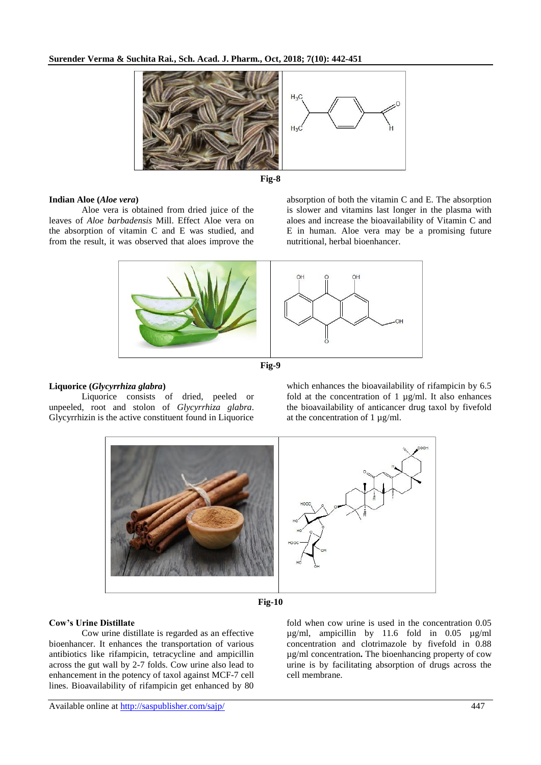



## **Indian Aloe (***Aloe vera***)**

Aloe vera is obtained from dried juice of the leaves of *Aloe barbadensis* Mill. Effect Aloe vera on the absorption of vitamin C and E was studied, and from the result, it was observed that aloes improve the



nutritional, herbal bioenhancer.





## **Liquorice (***Glycyrrhiza glabra***)**

Liquorice consists of dried, peeled or unpeeled, root and stolon of *Glycyrrhiza glabra*. Glycyrrhizin is the active constituent found in Liquorice which enhances the bioavailability of rifampicin by 6.5 fold at the concentration of 1 µg/ml. It also enhances the bioavailability of anticancer drug taxol by fivefold at the concentration of 1 µg/ml.





## **Cow's Urine Distillate**

Cow urine distillate is regarded as an effective bioenhancer. It enhances the transportation of various antibiotics like rifampicin, tetracycline and ampicillin across the gut wall by 2-7 folds. Cow urine also lead to enhancement in the potency of taxol against MCF-7 cell lines. Bioavailability of rifampicin get enhanced by 80

fold when cow urine is used in the concentration 0.05 µg/ml, ampicillin by 11.6 fold in 0.05 µg/ml concentration and clotrimazole by fivefold in 0.88 µg/ml concentration**.** The bioenhancing property of cow urine is by facilitating absorption of drugs across the cell membrane.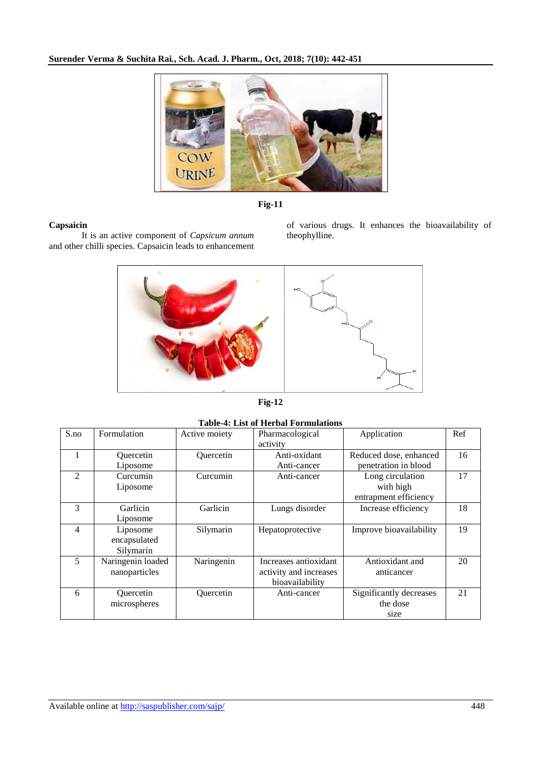

**Fig-11**

## **Capsaicin**

It is an active component of *Capsicum annum*  and other chilli species. Capsaicin leads to enhancement

of various drugs. It enhances the bioavailability of theophylline.



**Fig-12**

**Table-4: List of Herbal Formulations**

| S.no           | Formulation       | Active moiety    | Pharmacological        | Application             | Ref |
|----------------|-------------------|------------------|------------------------|-------------------------|-----|
|                |                   |                  | activity               |                         |     |
|                | <b>Ouercetin</b>  | <b>Ouercetin</b> | Anti-oxidant           | Reduced dose, enhanced  | 16  |
|                | Liposome          |                  | Anti-cancer            | penetration in blood    |     |
| $\mathfrak{D}$ | Curcumin          | Curcumin         | Anti-cancer            | Long circulation        | 17  |
|                | Liposome          |                  |                        | with high               |     |
|                |                   |                  |                        | entrapment efficiency   |     |
| 3              | <b>Garlicin</b>   | Garlicin         | Lungs disorder         | Increase efficiency     | 18  |
|                | Liposome          |                  |                        |                         |     |
| 4              | Liposome          | Silymarin        | Hepatoprotective       | Improve bioavailability | 19  |
|                | encapsulated      |                  |                        |                         |     |
|                | Silymarin         |                  |                        |                         |     |
| 5              | Naringenin loaded | Naringenin       | Increases antioxidant  | Antioxidant and         | 20  |
|                | nanoparticles     |                  | activity and increases | anticancer              |     |
|                |                   |                  | bioavailability        |                         |     |
| 6              | Quercetin         | Quercetin        | Anti-cancer            | Significantly decreases | 21  |
|                | microspheres      |                  |                        | the dose                |     |
|                |                   |                  |                        | size                    |     |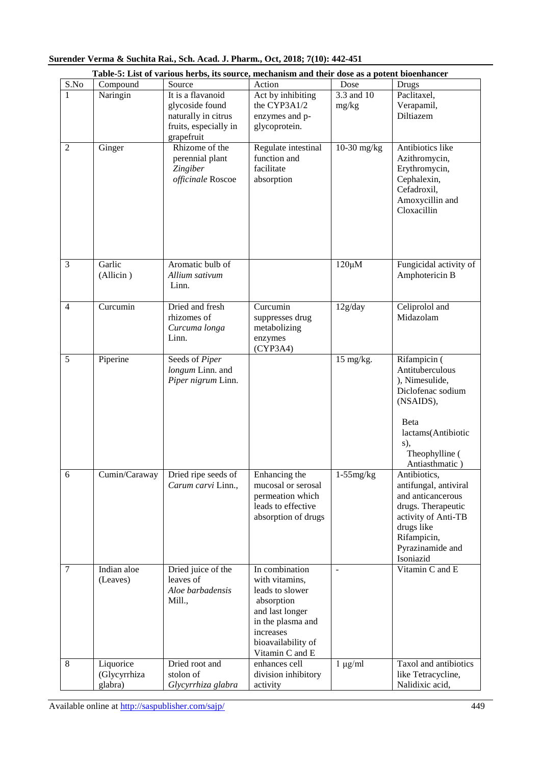|                |                                      | Table-5: List of various herbs, its source, mechanism and their dose as a potent bioenhancer |                                                                                                                                                                 |                                  |                                                                                                                                                                                         |
|----------------|--------------------------------------|----------------------------------------------------------------------------------------------|-----------------------------------------------------------------------------------------------------------------------------------------------------------------|----------------------------------|-----------------------------------------------------------------------------------------------------------------------------------------------------------------------------------------|
| S.No           | Compound                             | Source                                                                                       | Action                                                                                                                                                          | Dose                             | <b>Drugs</b>                                                                                                                                                                            |
| $\mathbf{1}$   | Naringin                             | It is a flavanoid<br>glycoside found<br>naturally in citrus<br>fruits, especially in         | Act by inhibiting<br>the CYP3A1/2<br>enzymes and p-<br>glycoprotein.                                                                                            | $\overline{3.3}$ and 10<br>mg/kg | Paclitaxel,<br>Verapamil,<br>Diltiazem                                                                                                                                                  |
| 2              | Ginger                               | grapefruit<br>Rhizome of the<br>perennial plant<br>Zingiber<br>officinale Roscoe             | Regulate intestinal<br>function and<br>facilitate<br>absorption                                                                                                 | 10-30 mg/kg                      | Antibiotics like<br>Azithromycin,<br>Erythromycin,<br>Cephalexin,<br>Cefadroxil,<br>Amoxycillin and<br>Cloxacillin                                                                      |
| 3              | Garlic<br>(Allicin)                  | Aromatic bulb of<br>Allium sativum<br>Linn.                                                  |                                                                                                                                                                 | $120 \mu M$                      | Fungicidal activity of<br>Amphotericin B                                                                                                                                                |
| $\overline{4}$ | Curcumin                             | Dried and fresh<br>rhizomes of<br>Curcuma longa<br>Linn.                                     | Curcumin<br>suppresses drug<br>metabolizing<br>enzymes<br>(CYP3A4)                                                                                              | 12g/day                          | Celiprolol and<br>Midazolam                                                                                                                                                             |
| 5              | Piperine                             | Seeds of Piper<br>longum Linn. and<br>Piper nigrum Linn.                                     |                                                                                                                                                                 | 15 mg/kg.                        | Rifampicin (<br>Antituberculous<br>), Nimesulide,<br>Diclofenac sodium<br>(NSAIDS),<br>Beta<br>lactams(Antibiotic<br>s),<br>Theophylline (                                              |
| 6              |                                      | Cumin/Caraway   Dried ripe seeds of<br>Carum carvi Linn.,                                    | Enhancing the<br>mucosal or serosal<br>permeation which<br>leads to effective<br>absorption of drugs                                                            | $1-55mg/kg$                      | Antiasthmatic)<br>Antibiotics,<br>antifungal, antiviral<br>and anticancerous<br>drugs. Therapeutic<br>activity of Anti-TB<br>drugs like<br>Rifampicin,<br>Pyrazinamide and<br>Isoniazid |
| 7              | Indian aloe<br>(Leaves)              | Dried juice of the<br>leaves of<br>Aloe barbadensis<br>Mill.,                                | In combination<br>with vitamins,<br>leads to slower<br>absorption<br>and last longer<br>in the plasma and<br>increases<br>bioavailability of<br>Vitamin C and E | ÷,                               | Vitamin C and E                                                                                                                                                                         |
| 8              | Liquorice<br>(Glycyrrhiza<br>glabra) | Dried root and<br>stolon of<br>Glycyrrhiza glabra                                            | enhances cell<br>division inhibitory<br>activity                                                                                                                | $1 \mu g/ml$                     | Taxol and antibiotics<br>like Tetracycline,<br>Nalidixic acid,                                                                                                                          |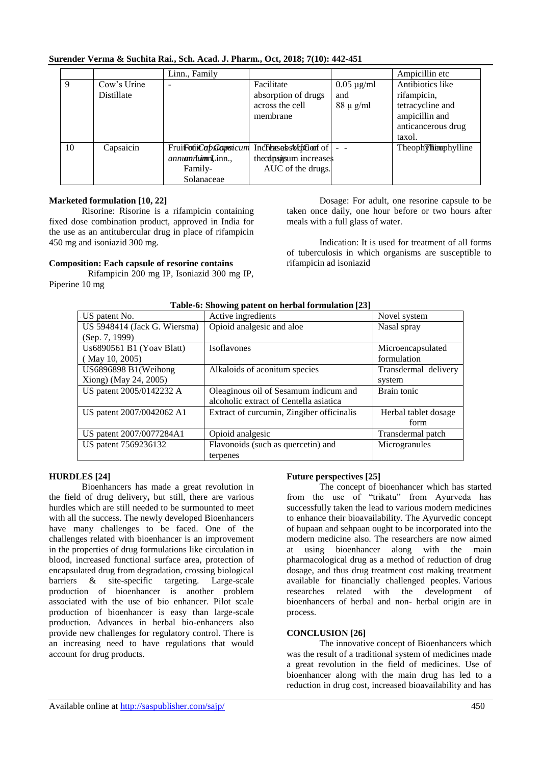| US patent 7569236132 | Flavonoids (such as d |
|----------------------|-----------------------|

| Surender Verma & Suchita Rai., Sch. Acad. J. Pharm., Oct, 2018; 7(10): 442-451 |  |  |  |
|--------------------------------------------------------------------------------|--|--|--|
|                                                                                |  |  |  |

|    |                                  | Linn., Family                                                             |                                                                      |                                         | Ampicillin etc                                                                                        |
|----|----------------------------------|---------------------------------------------------------------------------|----------------------------------------------------------------------|-----------------------------------------|-------------------------------------------------------------------------------------------------------|
| 9  | Cow's Urine<br><b>Distillate</b> | ۰                                                                         | Facilitate<br>absorption of drugs<br>across the cell<br>membrane     | $0.05 \mu g/ml$<br>and<br>$88 \mu g/ml$ | Antibiotics like<br>rifampicin,<br>tetracycline and<br>ampicillin and<br>anticancerous drug<br>taxol. |
| 10 | Capsaicin                        | Frui <b>FotiCap Gapsicum</b><br>annumnLimmLinn.,<br>Family-<br>Solanaceae | Increases solution of<br>theodpsigsum increases<br>AUC of the drugs. |                                         | Theophylline                                                                                          |

## **Marketed formulation [10, 22]**

Risorine: Risorine is a rifampicin containing fixed dose combination product, approved in India for the use as an antitubercular drug in place of rifampicin 450 mg and isoniazid 300 mg.

## **Composition: Each capsule of resorine contains**

 Rifampicin 200 mg IP, Isoniazid 300 mg IP, Piperine 10 mg

Dosage: For adult, one resorine capsule to be taken once daily, one hour before or two hours after meals with a full glass of water.

Indication: It is used for treatment of all forms of tuberculosis in which organisms are susceptible to rifampicin ad isoniazid

| <b>Table-6: Showing patent on nerbal formulation</b> [23] |                                           |                      |  |  |  |
|-----------------------------------------------------------|-------------------------------------------|----------------------|--|--|--|
| US patent No.                                             | Active ingredients                        | Novel system         |  |  |  |
| US 5948414 (Jack G. Wiersma)                              | Opioid analgesic and aloe                 | Nasal spray          |  |  |  |
| (Sep. 7, 1999)                                            |                                           |                      |  |  |  |
| Us6890561 B1 (Yoav Blatt)                                 | <b>Isoflavones</b>                        | Microencapsulated    |  |  |  |
| (May 10, 2005)                                            |                                           | formulation          |  |  |  |
| US6896898 B1(Weihong                                      | Alkaloids of aconitum species             | Transdermal delivery |  |  |  |
| Xiong) (May 24, 2005)                                     |                                           | system               |  |  |  |
| US patent 2005/0142232 A                                  | Oleaginous oil of Sesamum indicum and     | Brain tonic          |  |  |  |
|                                                           | alcoholic extract of Centella asiatica    |                      |  |  |  |
| US patent 2007/0042062 A1                                 | Extract of curcumin, Zingiber officinalis | Herbal tablet dosage |  |  |  |
|                                                           |                                           | form                 |  |  |  |
| US patent 2007/0077284A1                                  | Opioid analgesic                          | Transdermal patch    |  |  |  |
| US patent 7569236132                                      | Flavonoids (such as quercetin) and        | Microgranules        |  |  |  |
|                                                           | terpenes                                  |                      |  |  |  |

## **Table-6: Showing patent on herbal formulation [23]**

#### **HURDLES [24]**

Bioenhancers has made a great revolution in the field of drug delivery**,** but still, there are various hurdles which are still needed to be surmounted to meet with all the success. The newly developed Bioenhancers have many challenges to be faced. One of the challenges related with bioenhancer is an improvement in the properties of drug formulations like circulation in blood, increased functional surface area, protection of encapsulated drug from degradation, crossing biological barriers & site-specific targeting. Large-scale production of bioenhancer is another problem associated with the use of bio enhancer. Pilot scale production of bioenhancer is easy than large-scale production. Advances in herbal bio-enhancers also provide new challenges for regulatory control. There is an increasing need to have regulations that would account for drug products.

## **Future perspectives [25]**

The concept of bioenhancer which has started from the use of "trikatu" from Ayurveda has successfully taken the lead to various modern medicines to enhance their bioavailability. The Ayurvedic concept of hupaan and sehpaan ought to be incorporated into the modern medicine also. The researchers are now aimed at using bioenhancer along with the main pharmacological drug as a method of reduction of drug dosage, and thus drug treatment cost making treatment available for financially challenged peoples. Various researches related with the development of bioenhancers of herbal and non- herbal origin are in process.

#### **CONCLUSION [26]**

The innovative concept of Bioenhancers which was the result of a traditional system of medicines made a great revolution in the field of medicines. Use of bioenhancer along with the main drug has led to a reduction in drug cost, increased bioavailability and has